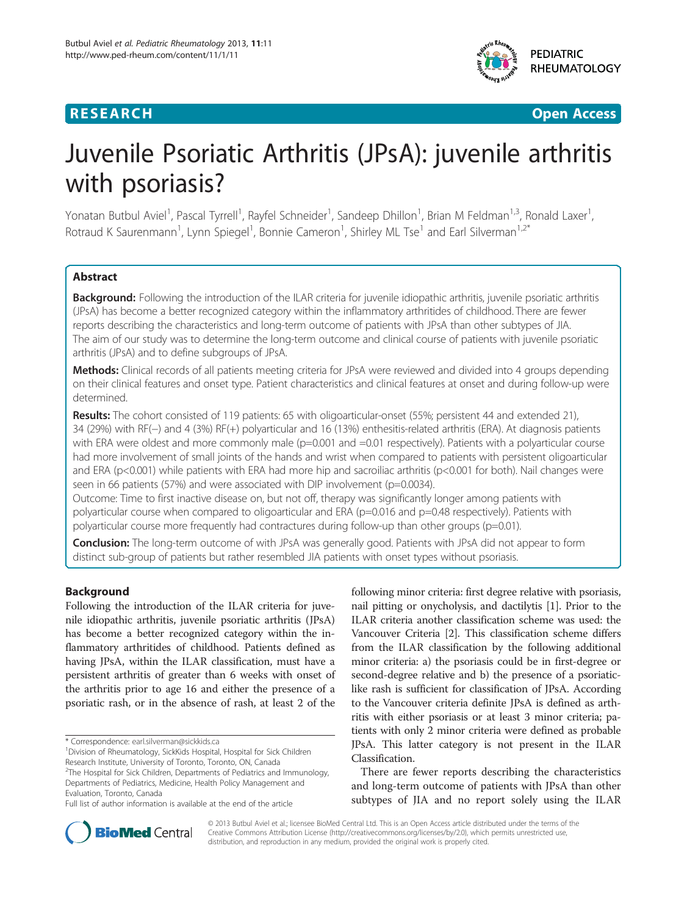## **RESEARCH CHE Open Access**

**PEDIATRIC RHEUMATOLOGY** 

# Juvenile Psoriatic Arthritis (JPsA): juvenile arthritis with psoriasis?

Yonatan Butbul Aviel<sup>1</sup>, Pascal Tyrrell<sup>1</sup>, Rayfel Schneider<sup>1</sup>, Sandeep Dhillon<sup>1</sup>, Brian M Feldman<sup>1,3</sup>, Ronald Laxer<sup>1</sup> , Rotraud K Saurenmann<sup>1</sup>, Lynn Spiegel<sup>1</sup>, Bonnie Cameron<sup>1</sup>, Shirley ML Tse<sup>1</sup> and Earl Silverman<sup>1,2\*</sup>

## Abstract

Background: Following the introduction of the ILAR criteria for juvenile idiopathic arthritis, juvenile psoriatic arthritis (JPsA) has become a better recognized category within the inflammatory arthritides of childhood. There are fewer reports describing the characteristics and long-term outcome of patients with JPsA than other subtypes of JIA. The aim of our study was to determine the long-term outcome and clinical course of patients with juvenile psoriatic arthritis (JPsA) and to define subgroups of JPsA.

Methods: Clinical records of all patients meeting criteria for JPsA were reviewed and divided into 4 groups depending on their clinical features and onset type. Patient characteristics and clinical features at onset and during follow-up were determined.

Results: The cohort consisted of 119 patients: 65 with oligoarticular-onset (55%; persistent 44 and extended 21), 34 (29%) with RF(−) and 4 (3%) RF(+) polyarticular and 16 (13%) enthesitis-related arthritis (ERA). At diagnosis patients with ERA were oldest and more commonly male (p=0.001 and =0.01 respectively). Patients with a polyarticular course had more involvement of small joints of the hands and wrist when compared to patients with persistent oligoarticular and ERA (p<0.001) while patients with ERA had more hip and sacroiliac arthritis (p<0.001 for both). Nail changes were seen in 66 patients (57%) and were associated with DIP involvement (p=0.0034).

Outcome: Time to first inactive disease on, but not off, therapy was significantly longer among patients with polyarticular course when compared to oligoarticular and ERA (p=0.016 and p=0.48 respectively). Patients with polyarticular course more frequently had contractures during follow-up than other groups (p=0.01).

**Conclusion:** The long-term outcome of with JPsA was generally good. Patients with JPsA did not appear to form distinct sub-group of patients but rather resembled JIA patients with onset types without psoriasis.

## Background

Following the introduction of the ILAR criteria for juvenile idiopathic arthritis, juvenile psoriatic arthritis (JPsA) has become a better recognized category within the inflammatory arthritides of childhood. Patients defined as having JPsA, within the ILAR classification, must have a persistent arthritis of greater than 6 weeks with onset of the arthritis prior to age 16 and either the presence of a psoriatic rash, or in the absence of rash, at least 2 of the

<sup>2</sup>The Hospital for Sick Children, Departments of Pediatrics and Immunology, Departments of Pediatrics, Medicine, Health Policy Management and Evaluation, Toronto, Canada

following minor criteria: first degree relative with psoriasis, nail pitting or onycholysis, and dactilytis [[1\]](#page-7-0). Prior to the ILAR criteria another classification scheme was used: the Vancouver Criteria [\[2\]](#page-7-0). This classification scheme differs from the ILAR classification by the following additional minor criteria: a) the psoriasis could be in first-degree or second-degree relative and b) the presence of a psoriaticlike rash is sufficient for classification of JPsA. According to the Vancouver criteria definite JPsA is defined as arthritis with either psoriasis or at least 3 minor criteria; patients with only 2 minor criteria were defined as probable JPsA. This latter category is not present in the ILAR Classification.

There are fewer reports describing the characteristics and long-term outcome of patients with JPsA than other subtypes of JIA and no report solely using the ILAR



© 2013 Butbul Aviel et al.; licensee BioMed Central Ltd. This is an Open Access article distributed under the terms of the Creative Commons Attribution License (<http://creativecommons.org/licenses/by/2.0>), which permits unrestricted use, distribution, and reproduction in any medium, provided the original work is properly cited.

<sup>\*</sup> Correspondence: [earl.silverman@sickkids.ca](mailto:earl.silverman@sickkids.ca) <sup>1</sup>

<sup>&</sup>lt;sup>1</sup> Division of Rheumatology, SickKids Hospital, Hospital for Sick Children Research Institute, University of Toronto, Toronto, ON, Canada

Full list of author information is available at the end of the article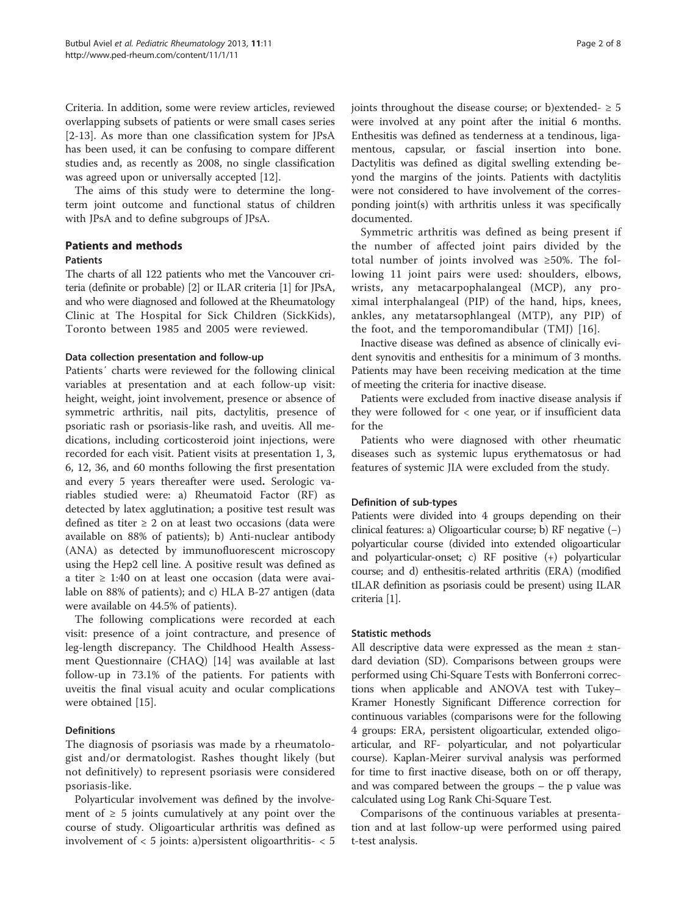Criteria. In addition, some were review articles, reviewed overlapping subsets of patients or were small cases series [[2-13](#page-7-0)]. As more than one classification system for JPsA has been used, it can be confusing to compare different studies and, as recently as 2008, no single classification was agreed upon or universally accepted [\[12](#page-7-0)].

The aims of this study were to determine the longterm joint outcome and functional status of children with JPsA and to define subgroups of JPsA.

## Patients and methods Patients

The charts of all 122 patients who met the Vancouver criteria (definite or probable) [\[2\]](#page-7-0) or ILAR criteria [\[1\]](#page-7-0) for JPsA, and who were diagnosed and followed at the Rheumatology Clinic at The Hospital for Sick Children (SickKids), Toronto between 1985 and 2005 were reviewed.

## Data collection presentation and follow-up

Patients′ charts were reviewed for the following clinical variables at presentation and at each follow-up visit: height, weight, joint involvement, presence or absence of symmetric arthritis, nail pits, dactylitis, presence of psoriatic rash or psoriasis-like rash, and uveitis. All medications, including corticosteroid joint injections, were recorded for each visit. Patient visits at presentation 1, 3, 6, 12, 36, and 60 months following the first presentation and every 5 years thereafter were used. Serologic variables studied were: a) Rheumatoid Factor (RF) as detected by latex agglutination; a positive test result was defined as titer  $\geq 2$  on at least two occasions (data were available on 88% of patients); b) Anti-nuclear antibody (ANA) as detected by immunofluorescent microscopy using the Hep2 cell line. A positive result was defined as a titer ≥ 1:40 on at least one occasion (data were available on 88% of patients); and c) HLA B-27 antigen (data were available on 44.5% of patients).

The following complications were recorded at each visit: presence of a joint contracture, and presence of leg-length discrepancy. The Childhood Health Assessment Questionnaire (CHAQ) [[14\]](#page-7-0) was available at last follow-up in 73.1% of the patients. For patients with uveitis the final visual acuity and ocular complications were obtained [\[15](#page-7-0)].

## **Definitions**

The diagnosis of psoriasis was made by a rheumatologist and/or dermatologist. Rashes thought likely (but not definitively) to represent psoriasis were considered psoriasis-like.

Polyarticular involvement was defined by the involvement of  $\geq 5$  joints cumulatively at any point over the course of study. Oligoarticular arthritis was defined as involvement of < 5 joints: a)persistent oligoarthritis- < 5 joints throughout the disease course; or b)extended-  $\geq$  5 were involved at any point after the initial 6 months. Enthesitis was defined as tenderness at a tendinous, ligamentous, capsular, or fascial insertion into bone. Dactylitis was defined as digital swelling extending beyond the margins of the joints. Patients with dactylitis were not considered to have involvement of the corresponding joint(s) with arthritis unless it was specifically documented.

Symmetric arthritis was defined as being present if the number of affected joint pairs divided by the total number of joints involved was ≥50%. The following 11 joint pairs were used: shoulders, elbows, wrists, any metacarpophalangeal (MCP), any proximal interphalangeal (PIP) of the hand, hips, knees, ankles, any metatarsophlangeal (MTP), any PIP) of the foot, and the temporomandibular (TMJ) [[16\]](#page-7-0).

Inactive disease was defined as absence of clinically evident synovitis and enthesitis for a minimum of 3 months. Patients may have been receiving medication at the time of meeting the criteria for inactive disease.

Patients were excluded from inactive disease analysis if they were followed for < one year, or if insufficient data for the

Patients who were diagnosed with other rheumatic diseases such as systemic lupus erythematosus or had features of systemic JIA were excluded from the study.

## Definition of sub-types

Patients were divided into 4 groups depending on their clinical features: a) Oligoarticular course; b) RF negative (−) polyarticular course (divided into extended oligoarticular and polyarticular-onset; c) RF positive (+) polyarticular course; and d) enthesitis-related arthritis (ERA) (modified tILAR definition as psoriasis could be present) using ILAR criteria [[1](#page-7-0)].

#### Statistic methods

All descriptive data were expressed as the mean  $\pm$  standard deviation (SD). Comparisons between groups were performed using Chi-Square Tests with Bonferroni corrections when applicable and ANOVA test with Tukey– Kramer Honestly Significant Difference correction for continuous variables (comparisons were for the following 4 groups: ERA, persistent oligoarticular, extended oligoarticular, and RF- polyarticular, and not polyarticular course). Kaplan-Meirer survival analysis was performed for time to first inactive disease, both on or off therapy, and was compared between the groups – the p value was calculated using Log Rank Chi-Square Test.

Comparisons of the continuous variables at presentation and at last follow-up were performed using paired t-test analysis.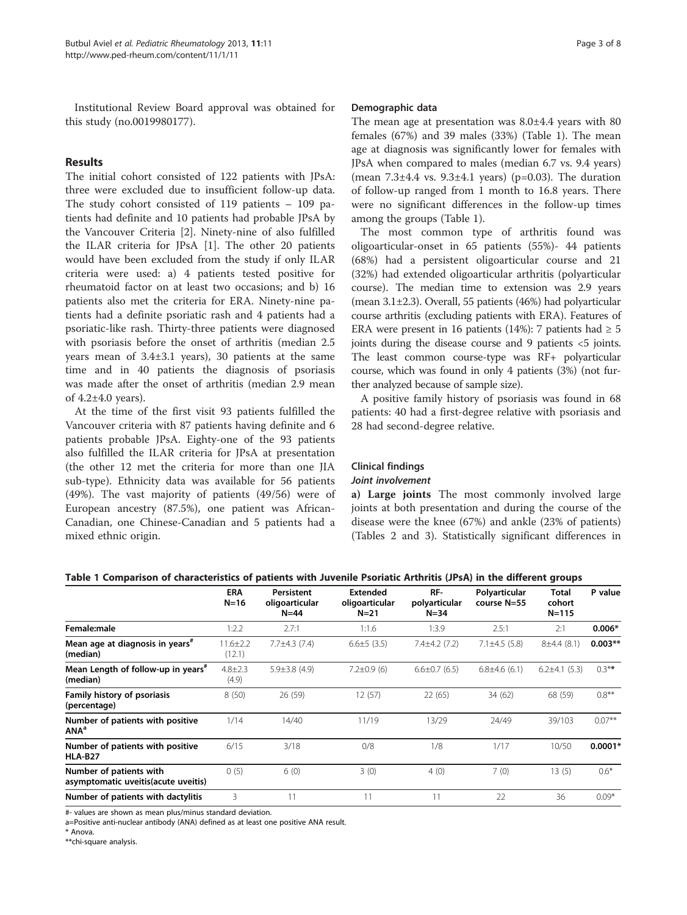<span id="page-2-0"></span>Institutional Review Board approval was obtained for this study (no.0019980177).

## Results

The initial cohort consisted of 122 patients with JPsA: three were excluded due to insufficient follow-up data. The study cohort consisted of 119 patients – 109 patients had definite and 10 patients had probable JPsA by the Vancouver Criteria [[2\]](#page-7-0). Ninety-nine of also fulfilled the ILAR criteria for JPsA [\[1\]](#page-7-0). The other 20 patients would have been excluded from the study if only ILAR criteria were used: a) 4 patients tested positive for rheumatoid factor on at least two occasions; and b) 16 patients also met the criteria for ERA. Ninety-nine patients had a definite psoriatic rash and 4 patients had a psoriatic-like rash. Thirty-three patients were diagnosed with psoriasis before the onset of arthritis (median 2.5 years mean of 3.4±3.1 years), 30 patients at the same time and in 40 patients the diagnosis of psoriasis was made after the onset of arthritis (median 2.9 mean of 4.2±4.0 years).

At the time of the first visit 93 patients fulfilled the Vancouver criteria with 87 patients having definite and 6 patients probable JPsA. Eighty-one of the 93 patients also fulfilled the ILAR criteria for JPsA at presentation (the other 12 met the criteria for more than one JIA sub-type). Ethnicity data was available for 56 patients (49%). The vast majority of patients (49/56) were of European ancestry (87.5%), one patient was African-Canadian, one Chinese-Canadian and 5 patients had a mixed ethnic origin.

#### Demographic data

The mean age at presentation was 8.0±4.4 years with 80 females (67%) and 39 males (33%) (Table 1). The mean age at diagnosis was significantly lower for females with JPsA when compared to males (median 6.7 vs. 9.4 years) (mean  $7.3\pm4.4$  vs.  $9.3\pm4.1$  years) (p=0.03). The duration of follow-up ranged from 1 month to 16.8 years. There were no significant differences in the follow-up times among the groups (Table 1).

The most common type of arthritis found was oligoarticular-onset in 65 patients (55%)- 44 patients (68%) had a persistent oligoarticular course and 21 (32%) had extended oligoarticular arthritis (polyarticular course). The median time to extension was 2.9 years (mean 3.1±2.3). Overall, 55 patients (46%) had polyarticular course arthritis (excluding patients with ERA). Features of ERA were present in 16 patients (14%): 7 patients had  $\geq 5$ joints during the disease course and 9 patients <5 joints. The least common course-type was RF+ polyarticular course, which was found in only 4 patients (3%) (not further analyzed because of sample size).

A positive family history of psoriasis was found in 68 patients: 40 had a first-degree relative with psoriasis and 28 had second-degree relative.

## Clinical findings Joint involvement

a) Large joints The most commonly involved large joints at both presentation and during the course of the disease were the knee (67%) and ankle (23% of patients) (Tables [2](#page-3-0) and [3\)](#page-4-0). Statistically significant differences in

|                                                                 | <b>ERA</b><br>$N=16$     | Persistent<br>oligoarticular<br>$N = 44$ | <b>Extended</b><br>oligoarticular<br>$N=21$ | RF-<br>polyarticular<br>$N = 34$ | Polyarticular<br>course N=55 | Total<br>cohort<br>$N = 115$ | P value   |
|-----------------------------------------------------------------|--------------------------|------------------------------------------|---------------------------------------------|----------------------------------|------------------------------|------------------------------|-----------|
| Female:male                                                     | 1:2.2                    | 2.7:1                                    | 1:1.6                                       | 1:3.9                            | 2.5:1                        | 2:1                          | $0.006*$  |
| Mean age at diagnosis in years <sup>#</sup><br>(median)         | $11.6 \pm 2.2$<br>(12.1) | $7.7 \pm 4.3$ (7.4)                      | $6.6 \pm 5$ (3.5)                           | $7.4\pm4.2(7.2)$                 | $7.1 \pm 4.5$ (5.8)          | 8±4.4(8.1)                   | $0.003**$ |
| Mean Length of follow-up in years <sup>#</sup><br>(median)      | $4.8 \pm 2.3$<br>(4.9)   | $5.9 \pm 3.8$ (4.9)                      | $7.2 \pm 0.9$ (6)                           | $6.6 \pm 0.7$ (6.5)              | $6.8\pm4.6(6.1)$             | $6.2\pm4.1(5.3)$             | $0.3**$   |
| <b>Family history of psoriasis</b><br>(percentage)              | 8(50)                    | 26 (59)                                  | 12 (57)                                     | 22(65)                           | 34 (62)                      | 68 (59)                      | $0.8***$  |
| Number of patients with positive<br><b>ANAª</b>                 | 1/14                     | 14/40                                    | 11/19                                       | 13/29                            | 24/49                        | 39/103                       | $0.07***$ |
| Number of patients with positive<br><b>HLA-B27</b>              | 6/15                     | 3/18                                     | 0/8                                         | 1/8                              | 1/17                         | 10/50                        | $0.0001*$ |
| Number of patients with<br>asymptomatic uveitis (acute uveitis) | 0(5)                     | 6(0)                                     | 3(0)                                        | 4(0)                             | 7(0)                         | 13(5)                        | $0.6*$    |
| Number of patients with dactylitis                              | 3                        | 11                                       | 11                                          | 11                               | 22                           | 36                           | $0.09*$   |

Table 1 Comparison of characteristics of patients with Juvenile Psoriatic Arthritis (JPsA) in the different groups

#- values are shown as mean plus/minus standard deviation.

a=Positive anti-nuclear antibody (ANA) defined as at least one positive ANA result.

\* Anova.

\*\*chi-square analysis.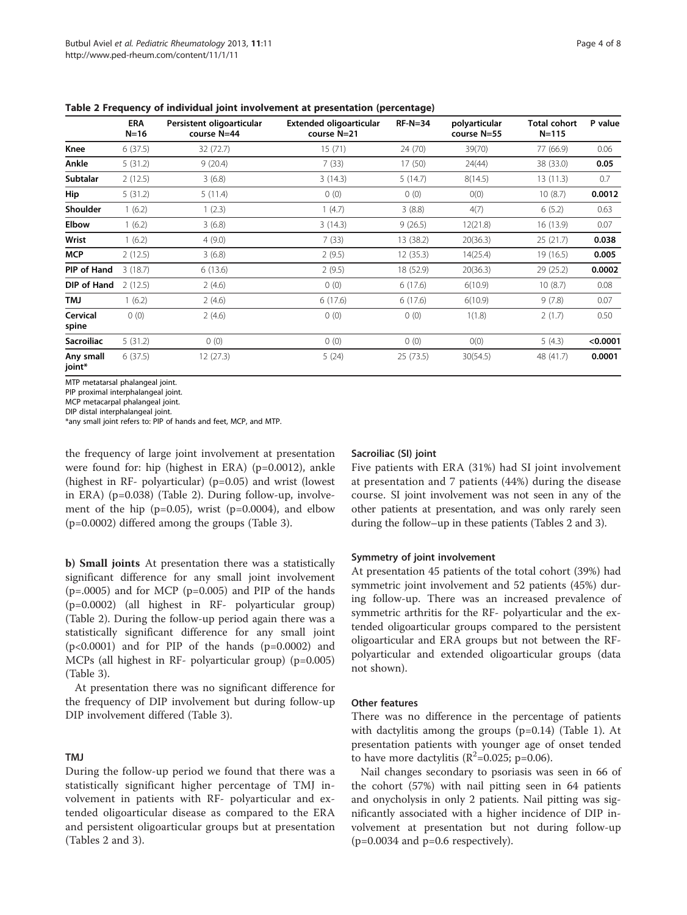|                     | <b>ERA</b><br>$N=16$ | Persistent oligoarticular<br>course N=44 | Extended oligoarticular<br>course N=21 | $RF-N=34$ | polyarticular<br>course N=55 | <b>Total cohort</b><br>$N = 115$ | P value  |
|---------------------|----------------------|------------------------------------------|----------------------------------------|-----------|------------------------------|----------------------------------|----------|
| Knee                | 6(37.5)              | 32 (72.7)                                | 15(71)                                 | 24 (70)   | 39(70)                       | 77 (66.9)                        | 0.06     |
| Ankle               | 5(31.2)              | 9(20.4)                                  | 7(33)                                  | 17(50)    | 24(44)                       | 38 (33.0)                        | 0.05     |
| <b>Subtalar</b>     | 2(12.5)              | 3(6.8)                                   | 3(14.3)                                | 5(14.7)   | 8(14.5)                      | 13(11.3)                         | 0.7      |
| Hip                 | 5(31.2)              | 5(11.4)                                  | 0(0)                                   | 0(0)      | O(0)                         | 10(8.7)                          | 0.0012   |
| Shoulder            | 1(6.2)               | 1(2.3)                                   | 1(4.7)                                 | 3(8.8)    | 4(7)                         | 6(5.2)                           | 0.63     |
| Elbow               | 1(6.2)               | 3(6.8)                                   | 3(14.3)                                | 9(26.5)   | 12(21.8)                     | 16 (13.9)                        | 0.07     |
| Wrist               | 1(6.2)               | 4(9.0)                                   | 7(33)                                  | 13 (38.2) | 20(36.3)                     | 25 (21.7)                        | 0.038    |
| <b>MCP</b>          | 2(12.5)              | 3(6.8)                                   | 2(9.5)                                 | 12 (35.3) | 14(25.4)                     | 19 (16.5)                        | 0.005    |
| PIP of Hand         | 3(18.7)              | 6(13.6)                                  | 2(9.5)                                 | 18 (52.9) | 20(36.3)                     | 29 (25.2)                        | 0.0002   |
| DIP of Hand         | 2(12.5)              | 2(4.6)                                   | 0(0)                                   | 6(17.6)   | 6(10.9)                      | 10(8.7)                          | 0.08     |
| <b>LMT</b>          | 1(6.2)               | 2(4.6)                                   | 6(17.6)                                | 6(17.6)   | 6(10.9)                      | 9(7.8)                           | 0.07     |
| Cervical<br>spine   | 0(0)                 | 2(4.6)                                   | 0(0)                                   | 0(0)      | 1(1.8)                       | 2(1.7)                           | 0.50     |
| <b>Sacroiliac</b>   | 5(31.2)              | 0(0)                                     | 0(0)                                   | 0(0)      | O(0)                         | 5(4.3)                           | < 0.0001 |
| Any small<br>joint* | 6(37.5)              | 12(27.3)                                 | 5(24)                                  | 25 (73.5) | 30(54.5)                     | 48 (41.7)                        | 0.0001   |

<span id="page-3-0"></span>Table 2 Frequency of individual joint involvement at presentation (percentage)

MTP metatarsal phalangeal joint.

PIP proximal interphalangeal joint.

MCP metacarpal phalangeal joint.

DIP distal interphalangeal joint.

\*any small joint refers to: PIP of hands and feet, MCP, and MTP.

the frequency of large joint involvement at presentation were found for: hip (highest in ERA) (p=0.0012), ankle (highest in RF- polyarticular) (p=0.05) and wrist (lowest in ERA) (p=0.038) (Table 2). During follow-up, involvement of the hip  $(p=0.05)$ , wrist  $(p=0.0004)$ , and elbow (p=0.0002) differed among the groups (Table [3](#page-4-0)).

b) Small joints At presentation there was a statistically significant difference for any small joint involvement  $(p=.0005)$  and for MCP  $(p=.0005)$  and PIP of the hands (p=0.0002) (all highest in RF- polyarticular group) (Table 2). During the follow-up period again there was a statistically significant difference for any small joint  $(p<0.0001)$  and for PIP of the hands  $(p=0.0002)$  and MCPs (all highest in RF- polyarticular group) (p=0.005) (Table [3\)](#page-4-0).

At presentation there was no significant difference for the frequency of DIP involvement but during follow-up DIP involvement differed (Table [3](#page-4-0)).

## TMJ

During the follow-up period we found that there was a statistically significant higher percentage of TMJ involvement in patients with RF- polyarticular and extended oligoarticular disease as compared to the ERA and persistent oligoarticular groups but at presentation (Tables 2 and [3\)](#page-4-0).

#### Sacroiliac (SI) joint

Five patients with ERA (31%) had SI joint involvement at presentation and 7 patients (44%) during the disease course. SI joint involvement was not seen in any of the other patients at presentation, and was only rarely seen during the follow–up in these patients (Tables 2 and [3](#page-4-0)).

#### Symmetry of joint involvement

At presentation 45 patients of the total cohort (39%) had symmetric joint involvement and 52 patients (45%) during follow-up. There was an increased prevalence of symmetric arthritis for the RF- polyarticular and the extended oligoarticular groups compared to the persistent oligoarticular and ERA groups but not between the RFpolyarticular and extended oligoarticular groups (data not shown).

#### Other features

There was no difference in the percentage of patients with dactylitis among the groups (p=0.14) (Table [1](#page-2-0)). At presentation patients with younger age of onset tended to have more dactylitis ( $R^2$ =0.025; p=0.06).

Nail changes secondary to psoriasis was seen in 66 of the cohort (57%) with nail pitting seen in 64 patients and onycholysis in only 2 patients. Nail pitting was significantly associated with a higher incidence of DIP involvement at presentation but not during follow-up (p=0.0034 and p=0.6 respectively).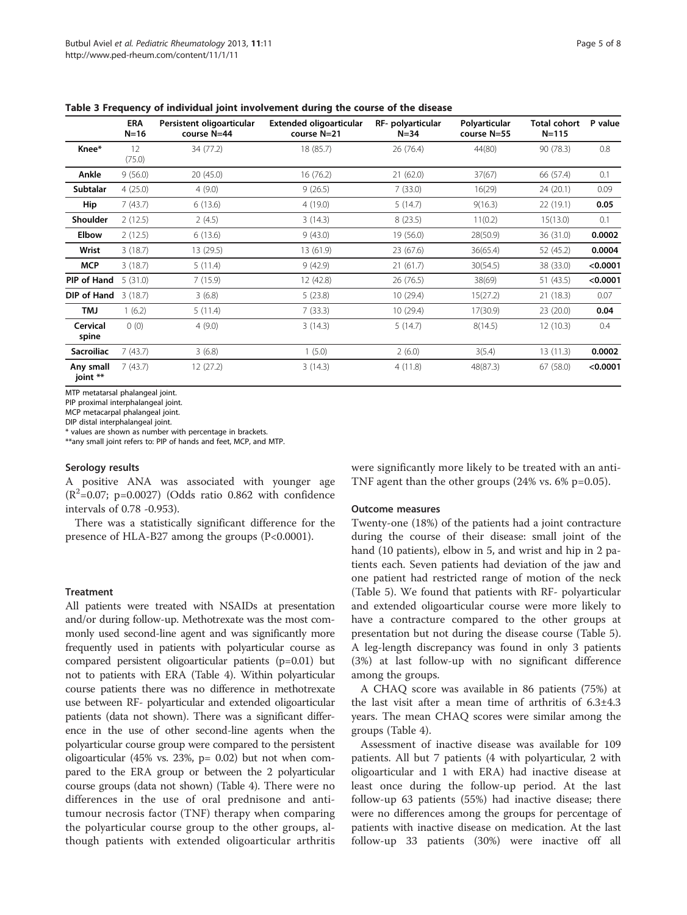|                       | <b>ERA</b><br>$N=16$ | Persistent oligoarticular<br>course N=44 | Extended oligoarticular<br>course N=21 | RF- polyarticular<br>$N = 34$ | Polyarticular<br>course N=55 | Total cohort<br>$N = 115$ | P value  |
|-----------------------|----------------------|------------------------------------------|----------------------------------------|-------------------------------|------------------------------|---------------------------|----------|
| Knee*                 | 12<br>(75.0)         | 34 (77.2)                                | 18 (85.7)                              | 26 (76.4)                     | 44(80)                       | 90 (78.3)                 | 0.8      |
| Ankle                 | 9(56.0)              | 20(45.0)                                 | 16 (76.2)                              | 21(62.0)                      | 37(67)                       | 66 (57.4)                 | 0.1      |
| <b>Subtalar</b>       | 4(25.0)              | 4(9.0)                                   | 9(26.5)                                | 7(33.0)                       | 16(29)                       | 24 (20.1)                 | 0.09     |
| Hip                   | 7(43.7)              | 6(13.6)                                  | 4 (19.0)                               | 5(14.7)                       | 9(16.3)                      | 22 (19.1)                 | 0.05     |
| <b>Shoulder</b>       | 2(12.5)              | 2(4.5)                                   | 3(14.3)                                | 8(23.5)                       | 11(0.2)                      | 15(13.0)                  | 0.1      |
| Elbow                 | 2(12.5)              | 6(13.6)                                  | 9(43.0)                                | 19 (56.0)                     | 28(50.9)                     | 36 (31.0)                 | 0.0002   |
| Wrist                 | 3(18.7)              | 13 (29.5)                                | 13 (61.9)                              | 23 (67.6)                     | 36(65.4)                     | 52 (45.2)                 | 0.0004   |
| <b>MCP</b>            | 3(18.7)              | 5(11.4)                                  | 9(42.9)                                | 21(61.7)                      | 30(54.5)                     | 38 (33.0)                 | < 0.0001 |
| PIP of Hand           | 5(31.0)              | 7(15.9)                                  | 12 (42.8)                              | 26 (76.5)                     | 38(69)                       | 51 (43.5)                 | < 0.0001 |
| DIP of Hand           | 3(18.7)              | 3(6.8)                                   | 5(23.8)                                | 10(29.4)                      | 15(27.2)                     | 21 (18.3)                 | 0.07     |
| <b>LMT</b>            | 1(6.2)               | 5(11.4)                                  | 7(33.3)                                | 10(29.4)                      | 17(30.9)                     | 23 (20.0)                 | 0.04     |
| Cervical<br>spine     | 0(0)                 | 4(9.0)                                   | 3(14.3)                                | 5(14.7)                       | 8(14.5)                      | 12(10.3)                  | 0.4      |
| <b>Sacroiliac</b>     | 7(43.7)              | 3(6.8)                                   | 1(5.0)                                 | 2(6.0)                        | 3(5.4)                       | 13(11.3)                  | 0.0002   |
| Any small<br>joint ** | 7(43.7)              | 12(27.2)                                 | 3(14.3)                                | 4(11.8)                       | 48(87.3)                     | 67 (58.0)                 | < 0.0001 |

<span id="page-4-0"></span>Table 3 Frequency of individual joint involvement during the course of the disease

MTP metatarsal phalangeal joint.

PIP proximal interphalangeal joint.

MCP metacarpal phalangeal joint.

DIP distal interphalangeal joint.

\* values are shown as number with percentage in brackets.

\*\*any small joint refers to: PIP of hands and feet, MCP, and MTP.

#### Serology results

A positive ANA was associated with younger age  $(R^2=0.07; p=0.0027)$  (Odds ratio 0.862 with confidence intervals of 0.78 -0.953).

There was a statistically significant difference for the presence of HLA-B27 among the groups (P<0.0001).

#### Treatment

All patients were treated with NSAIDs at presentation and/or during follow-up. Methotrexate was the most commonly used second-line agent and was significantly more frequently used in patients with polyarticular course as compared persistent oligoarticular patients (p=0.01) but not to patients with ERA (Table [4](#page-5-0)). Within polyarticular course patients there was no difference in methotrexate use between RF- polyarticular and extended oligoarticular patients (data not shown). There was a significant difference in the use of other second-line agents when the polyarticular course group were compared to the persistent oligoarticular (45% vs. 23%,  $p = 0.02$ ) but not when compared to the ERA group or between the 2 polyarticular course groups (data not shown) (Table [4](#page-5-0)). There were no differences in the use of oral prednisone and antitumour necrosis factor (TNF) therapy when comparing the polyarticular course group to the other groups, although patients with extended oligoarticular arthritis were significantly more likely to be treated with an anti-TNF agent than the other groups (24% vs. 6% p=0.05).

#### Outcome measures

Twenty-one (18%) of the patients had a joint contracture during the course of their disease: small joint of the hand (10 patients), elbow in 5, and wrist and hip in 2 patients each. Seven patients had deviation of the jaw and one patient had restricted range of motion of the neck (Table [5](#page-5-0)). We found that patients with RF- polyarticular and extended oligoarticular course were more likely to have a contracture compared to the other groups at presentation but not during the disease course (Table [5](#page-5-0)). A leg-length discrepancy was found in only 3 patients (3%) at last follow-up with no significant difference among the groups.

A CHAQ score was available in 86 patients (75%) at the last visit after a mean time of arthritis of  $6.3\pm4.3$ years. The mean CHAQ scores were similar among the groups (Table [4\)](#page-5-0).

Assessment of inactive disease was available for 109 patients. All but 7 patients (4 with polyarticular, 2 with oligoarticular and 1 with ERA) had inactive disease at least once during the follow-up period. At the last follow-up 63 patients (55%) had inactive disease; there were no differences among the groups for percentage of patients with inactive disease on medication. At the last follow-up 33 patients (30%) were inactive off all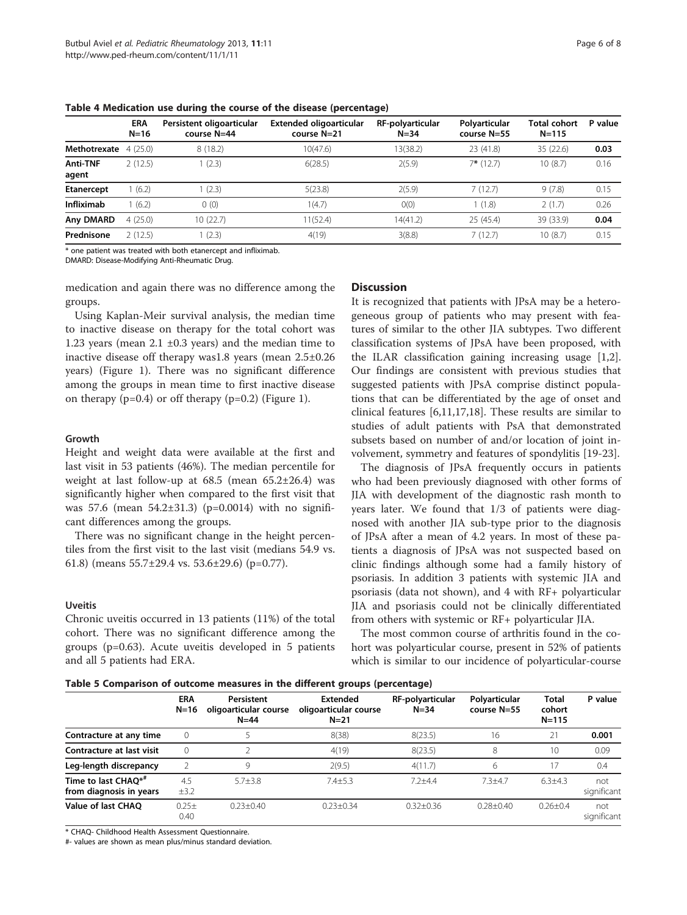|                   | <b>ERA</b><br>$N=16$ | Persistent oligoarticular<br>course N=44 | Extended oligoarticular<br>course N=21 | RF-polyarticular<br>$N = 34$ | Polyarticular<br>course N=55 | Total cohort<br>$N = 115$ | P value |
|-------------------|----------------------|------------------------------------------|----------------------------------------|------------------------------|------------------------------|---------------------------|---------|
| Methotrexate      | 4(25.0)              | 8(18.2)                                  | 10(47.6)                               | 13(38.2)                     | 23 (41.8)                    | 35 (22.6)                 | 0.03    |
| Anti-TNF<br>agent | 2(12.5)              | (2.3)                                    | 6(28.5)                                | 2(5.9)                       | $7*$ (12.7)                  | 10(8.7)                   | 0.16    |
| <b>Etanercept</b> | (6.2)                | (2.3)                                    | 5(23.8)                                | 2(5.9)                       | 7(12.7)                      | 9(7.8)                    | 0.15    |
| Infliximab        | (6.2)                | 0(0)                                     | 1(4.7)                                 | O(0)                         | 1(1.8)                       | 2(1.7)                    | 0.26    |
| Any DMARD         | 4(25.0)              | 10 (22.7)                                | 11(52.4)                               | 14(41.2)                     | 25 (45.4)                    | 39 (33.9)                 | 0.04    |
| Prednisone        | 2(12.5)              | (2.3)                                    | 4(19)                                  | 3(8.8)                       | 7(12.7)                      | 10(8.7)                   | 0.15    |

<span id="page-5-0"></span>Table 4 Medication use during the course of the disease (percentage)

\* one patient was treated with both etanercept and infliximab.

DMARD: Disease-Modifying Anti-Rheumatic Drug.

medication and again there was no difference among the groups.

Using Kaplan-Meir survival analysis, the median time to inactive disease on therapy for the total cohort was 1.23 years (mean  $2.1 \pm 0.3$  years) and the median time to inactive disease off therapy was1.8 years (mean 2.5±0.26 years) (Figure [1\)](#page-6-0). There was no significant difference among the groups in mean time to first inactive disease on therapy  $(p=0.4)$  or off therapy  $(p=0.2)$  (Figure [1\)](#page-6-0).

## Growth

Height and weight data were available at the first and last visit in 53 patients (46%). The median percentile for weight at last follow-up at  $68.5$  (mean  $65.2\pm26.4$ ) was significantly higher when compared to the first visit that was 57.6 (mean 54.2±31.3) (p=0.0014) with no significant differences among the groups.

There was no significant change in the height percentiles from the first visit to the last visit (medians 54.9 vs. 61.8) (means  $55.7\pm29.4$  vs.  $53.6\pm29.6$ ) (p=0.77).

#### Uveitis

Chronic uveitis occurred in 13 patients (11%) of the total cohort. There was no significant difference among the groups (p=0.63). Acute uveitis developed in 5 patients and all 5 patients had ERA.

## **Discussion**

It is recognized that patients with JPsA may be a heterogeneous group of patients who may present with features of similar to the other JIA subtypes. Two different classification systems of JPsA have been proposed, with the ILAR classification gaining increasing usage [\[1,2](#page-7-0)]. Our findings are consistent with previous studies that suggested patients with JPsA comprise distinct populations that can be differentiated by the age of onset and clinical features [[6,11](#page-7-0),[17](#page-7-0),[18](#page-7-0)]. These results are similar to studies of adult patients with PsA that demonstrated subsets based on number of and/or location of joint involvement, symmetry and features of spondylitis [\[19-23](#page-7-0)].

The diagnosis of JPsA frequently occurs in patients who had been previously diagnosed with other forms of JIA with development of the diagnostic rash month to years later. We found that 1/3 of patients were diagnosed with another JIA sub-type prior to the diagnosis of JPsA after a mean of 4.2 years. In most of these patients a diagnosis of JPsA was not suspected based on clinic findings although some had a family history of psoriasis. In addition 3 patients with systemic JIA and psoriasis (data not shown), and 4 with RF+ polyarticular JIA and psoriasis could not be clinically differentiated from others with systemic or RF+ polyarticular JIA.

The most common course of arthritis found in the cohort was polyarticular course, present in 52% of patients which is similar to our incidence of polyarticular-course

Table 5 Comparison of outcome measures in the different groups (percentage)

|                                                            | <b>ERA</b><br>N=16 | Persistent<br>oligoarticular course<br>$N = 44$ | <b>Extended</b><br>oligoarticular course<br>$N=21$ | RF-polyarticular<br>$N = 34$ | Polyarticular<br>course N=55 | Total<br>cohort<br>$N = 115$ | P value            |
|------------------------------------------------------------|--------------------|-------------------------------------------------|----------------------------------------------------|------------------------------|------------------------------|------------------------------|--------------------|
| Contracture at any time                                    | $\mathbf{0}$       |                                                 | 8(38)                                              | 8(23.5)                      | 16                           | 21                           | 0.001              |
| Contracture at last visit                                  | $\mathbf{0}$       |                                                 | 4(19)                                              | 8(23.5)                      | 8                            | 10                           | 0.09               |
| Leg-length discrepancy                                     |                    | 9                                               | 2(9.5)                                             | 4(11.7)                      | 6                            | 17                           | 0.4                |
| Time to last CHAO* <sup>#</sup><br>from diagnosis in years | 4.5<br>$\pm$ 3.2   | $5.7 + 3.8$                                     | $7.4 + 5.3$                                        | $7.2 + 4.4$                  | $7.3 + 4.7$                  | $6.3 + 4.3$                  | not<br>significant |
| <b>Value of last CHAO</b>                                  | $0.25 \pm$<br>0.40 | $0.23 \pm 0.40$                                 | $0.23 + 0.34$                                      | $0.32 \pm 0.36$              | $0.28 + 0.40$                | $0.26 \pm 0.4$               | not<br>significant |

\* CHAQ- Childhood Health Assessment Questionnaire.

#- values are shown as mean plus/minus standard deviation.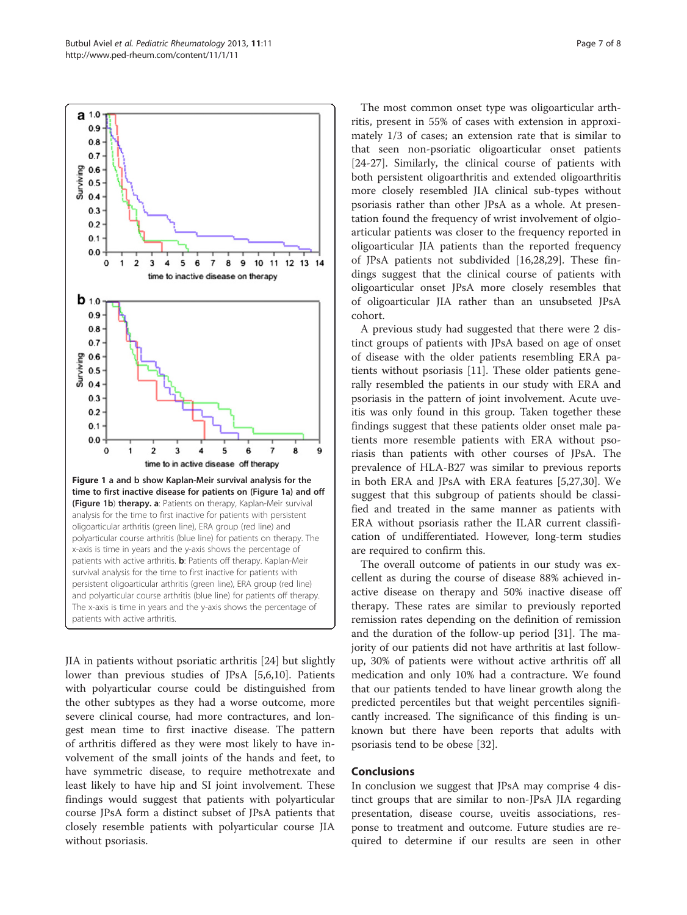<span id="page-6-0"></span>

JIA in patients without psoriatic arthritis [\[24\]](#page-7-0) but slightly lower than previous studies of JPsA [\[5,6,10](#page-7-0)]. Patients with polyarticular course could be distinguished from the other subtypes as they had a worse outcome, more severe clinical course, had more contractures, and longest mean time to first inactive disease. The pattern of arthritis differed as they were most likely to have involvement of the small joints of the hands and feet, to have symmetric disease, to require methotrexate and least likely to have hip and SI joint involvement. These findings would suggest that patients with polyarticular course JPsA form a distinct subset of JPsA patients that closely resemble patients with polyarticular course JIA without psoriasis.

The most common onset type was oligoarticular arthritis, present in 55% of cases with extension in approximately 1/3 of cases; an extension rate that is similar to that seen non-psoriatic oligoarticular onset patients [[24-27](#page-7-0)]. Similarly, the clinical course of patients with both persistent oligoarthritis and extended oligoarthritis more closely resembled JIA clinical sub-types without psoriasis rather than other JPsA as a whole. At presentation found the frequency of wrist involvement of olgioarticular patients was closer to the frequency reported in oligoarticular JIA patients than the reported frequency of JPsA patients not subdivided [[16](#page-7-0),[28,29](#page-7-0)]. These findings suggest that the clinical course of patients with oligoarticular onset JPsA more closely resembles that of oligoarticular JIA rather than an unsubseted JPsA cohort.

A previous study had suggested that there were 2 distinct groups of patients with JPsA based on age of onset of disease with the older patients resembling ERA patients without psoriasis [\[11](#page-7-0)]. These older patients generally resembled the patients in our study with ERA and psoriasis in the pattern of joint involvement. Acute uveitis was only found in this group. Taken together these findings suggest that these patients older onset male patients more resemble patients with ERA without psoriasis than patients with other courses of JPsA. The prevalence of HLA-B27 was similar to previous reports in both ERA and JPsA with ERA features [\[5,27,30](#page-7-0)]. We suggest that this subgroup of patients should be classified and treated in the same manner as patients with ERA without psoriasis rather the ILAR current classification of undifferentiated. However, long-term studies are required to confirm this.

The overall outcome of patients in our study was excellent as during the course of disease 88% achieved inactive disease on therapy and 50% inactive disease off therapy. These rates are similar to previously reported remission rates depending on the definition of remission and the duration of the follow-up period [[31](#page-7-0)]. The majority of our patients did not have arthritis at last followup, 30% of patients were without active arthritis off all medication and only 10% had a contracture. We found that our patients tended to have linear growth along the predicted percentiles but that weight percentiles significantly increased. The significance of this finding is unknown but there have been reports that adults with psoriasis tend to be obese [\[32](#page-7-0)].

### Conclusions

In conclusion we suggest that JPsA may comprise 4 distinct groups that are similar to non-JPsA JIA regarding presentation, disease course, uveitis associations, response to treatment and outcome. Future studies are required to determine if our results are seen in other